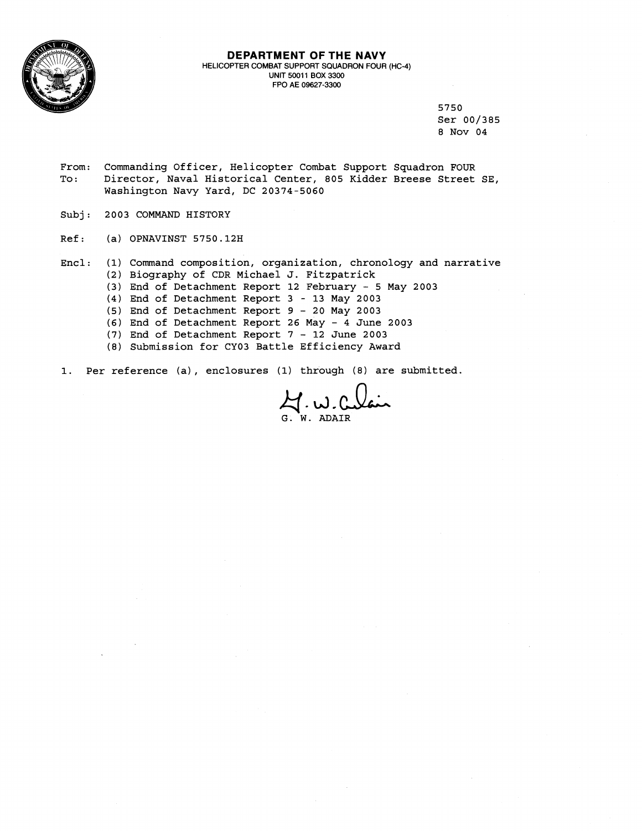

#### **DEPARTMENT OF THE NAVY**  HELICOPTER COMBAT SUPPORT SQUADRON FOUR (HC-4) UNIT **5001 1** BOX **3300**  FPO A€ **09627-3300**

**5 7 5 0**  Ser **00/385 8** Nov **04** 

- From: Commanding Officer, Helicopter Combat Support Squadron FOUR<br>To: Director, Naval Historical Center, 805 Kidder Breese Street To : Director, Naval Historical Center, **805** Kidder Breese Street SE, Washington Navy Yard, DC **20374-5060**
- Subj: **2003** COMMAND HISTORY
- Ref : (a) OPNAVINST **5750.12H**
- Encl: **(2)**  Biography of CDR Michael J. Fitzpatrick **(3)**  End of Detachment Report **12** February - **5** May **<sup>2003</sup> (4** 1 End of Detachment Report **3** - **13** May **2003**  (5 1 End of Detachment Report 9 - **20** May **<sup>2003</sup> (6)**  End of Detachment Report **26** May - **4** June **<sup>2003</sup> (7** <sup>1</sup> End of Detachment Report **7** - **12** June **<sup>2003</sup>** (1) Command composition, organization, chronology and narrative
	- **(8**  Submission for **CY03** Battle Efficiency Award

1. Per reference (a) , enclosures **(1)** through **(8)** are submitted.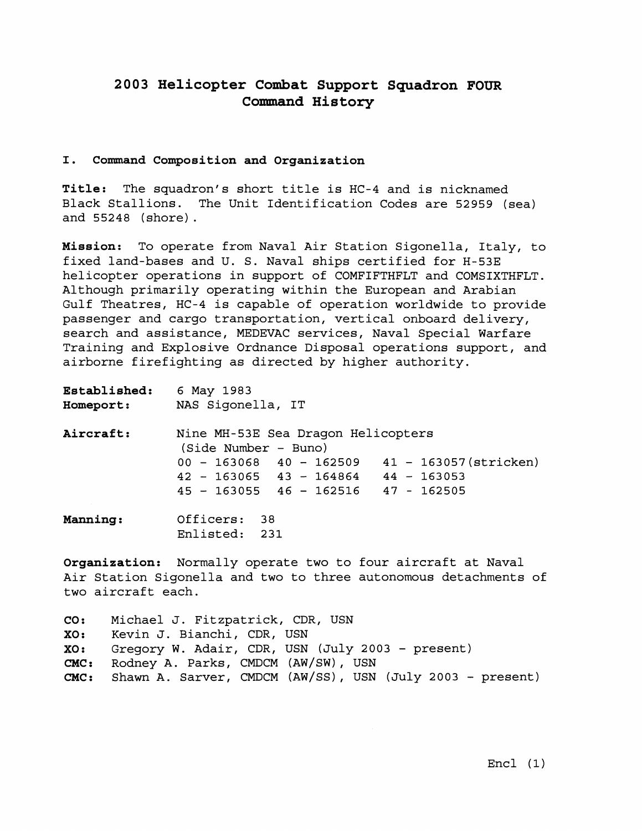# **2003 Helicopter Combat Support Squadron FOUR Cormnand History**

### **I. Command composition and Organization**

**Title:** The squadron's short title is HC-4 and is nicknamed Black Stallions. The Unit Identification Codes are 52959 (sea) and 55248 (shore).

**Mission:** To operate from Naval Air Station Sigonella, Italy, to fixed land-bases and U. S. Naval ships certified for H-53E helicopter operations in support of COMFIFTHFLT and COMSIXTHFLT. Although primarily operating within the European and Arabian Gulf Theatres, HC-4 is capable of operation worldwide to provide passenger and cargo transportation, vertical onboard delivery, search and assistance, MEDEVAC services, Naval Special Warfare Training and Explosive Ordnance Disposal operations support, and airborne firefighting as directed by higher authority.

| <b>Established:</b><br><b>Homeport:</b> | 6 May 1983<br>NAS Sigonella, IT                            |  |  |  |  |
|-----------------------------------------|------------------------------------------------------------|--|--|--|--|
|                                         |                                                            |  |  |  |  |
| <b>Aircraft:</b>                        | Nine MH-53E Sea Dragon Helicopters<br>(Side Number - Buno) |  |  |  |  |
|                                         | 41 - 163057 (stricken)<br>$00 - 163068$ 40 - 162509        |  |  |  |  |
|                                         | $42 - 163065$ $43 - 164864$ $44 - 163053$                  |  |  |  |  |
|                                         | $45 - 163055$ $46 - 162516$ $47 - 162505$                  |  |  |  |  |
| <b>Manning:</b>                         | Officers: 38<br>Enlisted: 231                              |  |  |  |  |

**Organization:** Normally operate two to four aircraft at Naval Air Station Sigonella and two to three autonomous detachments of two aircraft each.

**CO:** Michael J. Fitzpatrick, CDR, USN **XO:** Kevin J. Bianchi, CDR, USN<br>**XO:** Gregory W. Adair, CDR, USN Gregory W. Adair, CDR, USN (July 2003 - present) CMC: Rodney A. Parks, CMDCM (AW/SW) , USN **CMC:** Shawn A. Sarver, CMDCM (AW/SS), USN (July 2003 - present)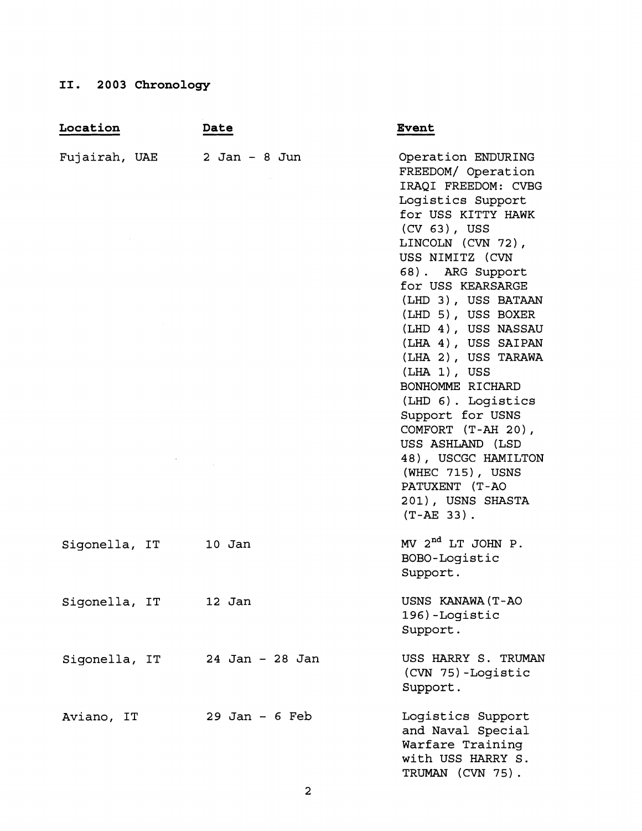# **11. 2003 Chronology**

| II. 2003 Chronology |                  |                                                                                                                                                                                                                                                                                                                                                                                                                                                                                                                                                                |
|---------------------|------------------|----------------------------------------------------------------------------------------------------------------------------------------------------------------------------------------------------------------------------------------------------------------------------------------------------------------------------------------------------------------------------------------------------------------------------------------------------------------------------------------------------------------------------------------------------------------|
| Location            | Date             | <b>Event</b>                                                                                                                                                                                                                                                                                                                                                                                                                                                                                                                                                   |
| Fujairah, UAE       | $2$ Jan - 8 Jun  | Operation ENDURING<br>FREEDOM/ Operation<br>IRAQI FREEDOM: CVBG<br>Logistics Support<br>for USS KITTY HAWK<br>$(CV 63)$ , USS<br>LINCOLN (CVN 72),<br>USS NIMITZ (CVN<br>68). ARG Support<br>for USS KEARSARGE<br>(LHD 3), USS BATAAN<br>(LHD 5), USS BOXER<br>(LHD 4), USS NASSAU<br>(LHA 4), USS SAIPAN<br>(LHA 2), USS TARAWA<br>$(LHA 1)$ , USS<br>BONHOMME RICHARD<br>(LHD 6). Logistics<br>Support for USNS<br>COMFORT (T-AH 20),<br>USS ASHLAND (LSD<br>48), USCGC HAMILTON<br>(WHEC 715), USNS<br>PATUXENT (T-AO<br>201), USNS SHASTA<br>$(T-AE 33)$ . |
| Sigonella, IT       | $10$ Jan         | MV $2^{nd}$ LT JOHN P.<br>BOBO-Logistic<br>Support.                                                                                                                                                                                                                                                                                                                                                                                                                                                                                                            |
| Sigonella, IT       | 12 Jan           | USNS KANAWA (T-AO<br>196)-Logistic<br>Support.                                                                                                                                                                                                                                                                                                                                                                                                                                                                                                                 |
| Sigonella, IT       | 24 Jan - 28 Jan  | USS HARRY S. TRUMAN<br>(CVN 75)-Logistic<br>Support.                                                                                                                                                                                                                                                                                                                                                                                                                                                                                                           |
| Aviano, IT          | $29$ Jan - 6 Feb | Logistics Support<br>and Naval Special<br>Warfare Training<br>with USS HARRY S.<br>TRUMAN (CVN 75).                                                                                                                                                                                                                                                                                                                                                                                                                                                            |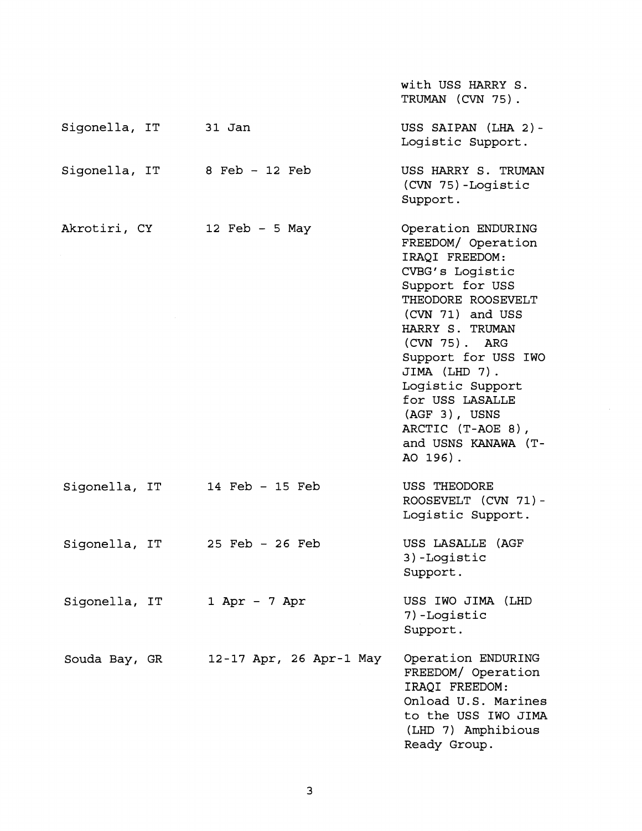|                      |                              | with USS HARRY S.<br>TRUMAN (CVN 75).                                                                                                                                                                                                                                                                                                        |
|----------------------|------------------------------|----------------------------------------------------------------------------------------------------------------------------------------------------------------------------------------------------------------------------------------------------------------------------------------------------------------------------------------------|
| Sigonella, IT 31 Jan |                              | USS SAIPAN (LHA 2)-<br>Logistic Support.                                                                                                                                                                                                                                                                                                     |
|                      | Sigonella, IT 8 Feb - 12 Feb | USS HARRY S. TRUMAN<br>(CVN 75)-Logistic<br>Support.                                                                                                                                                                                                                                                                                         |
| Akrotiri, CY         | 12 Feb - 5 May               | Operation ENDURING<br>FREEDOM/ Operation<br>IRAQI FREEDOM:<br>CVBG's Logistic<br>Support for USS<br>THEODORE ROOSEVELT<br>(CVN 71) and USS<br>HARRY S. TRUMAN<br>$(CVN 75)$ . ARG<br>Support for USS IWO<br>JIMA (LHD 7).<br>Logistic Support<br>for USS LASALLE<br>$(AGF 3)$ , USNS<br>ARCTIC (T-AOE 8),<br>and USNS KANAWA (T-<br>AO 196). |
| Sigonella, IT        | 14 Feb - 15 Feb              | USS THEODORE<br>ROOSEVELT (CVN 71)-<br>Logistic Support.                                                                                                                                                                                                                                                                                     |
| Sigonella, IT        | $25$ Feb - $26$ Feb          | USS LASALLE (AGF<br>3)-Logistic<br>Support.                                                                                                                                                                                                                                                                                                  |
| Sigonella, IT        | $1$ Apr - 7 Apr              | USS IWO JIMA (LHD<br>7)-Logistic<br>Support.                                                                                                                                                                                                                                                                                                 |
| Souda Bay, GR        | 12-17 Apr, 26 Apr-1 May      | Operation ENDURING<br>FREEDOM/ Operation<br>IRAQI FREEDOM:<br>Onload U.S. Marines<br>to the USS IWO JIMA<br>(LHD 7) Amphibious<br>Ready Group.                                                                                                                                                                                               |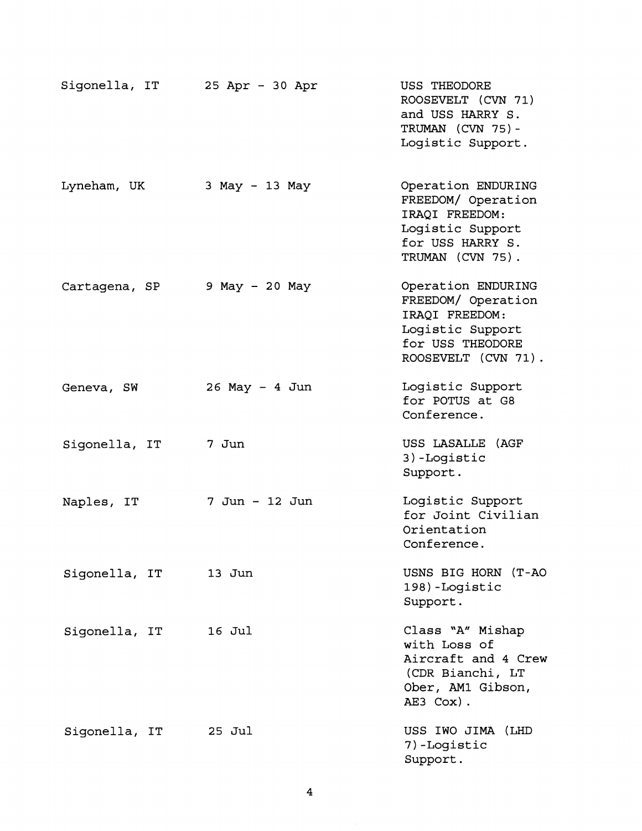| Sigonella, IT | 25 Apr - 30 Apr   | USS THEODORE<br>ROOSEVELT (CVN 71)<br>and USS HARRY S.<br>TRUMAN (CVN 75)-<br>Logistic Support.                           |
|---------------|-------------------|---------------------------------------------------------------------------------------------------------------------------|
| Lyneham, UK   | 3 May - 13 May    | Operation ENDURING<br>FREEDOM/ Operation<br>IRAQI FREEDOM:<br>Logistic Support<br>for USS HARRY S.<br>TRUMAN (CVN 75).    |
| Cartagena, SP | 9 May - 20 May    | Operation ENDURING<br>FREEDOM/ Operation<br>IRAQI FREEDOM:<br>Logistic Support<br>for USS THEODORE<br>ROOSEVELT (CVN 71). |
| Geneva, SW    | $26$ May $-4$ Jun | Logistic Support<br>for POTUS at G8<br>Conference.                                                                        |
| Sigonella, IT | 7 Jun             | USS LASALLE (AGF<br>3)-Logistic<br>Support.                                                                               |
| Naples, IT    | 7 Jun - 12 Jun    | Logistic Support<br>for Joint Civilian<br>Orientation<br>Conference.                                                      |
| Sigonella, IT | 13 Jun            | USNS BIG HORN (T-AO<br>198) -Logistic<br>Support.                                                                         |
| Sigonella, IT | 16 Jul            | Class "A" Mishap<br>with Loss of<br>Aircraft and 4 Crew<br>(CDR Bianchi, LT<br>Ober, AM1 Gibson,<br>AE3 Cox).             |
| Sigonella, IT | 25 Jul            | USS IWO JIMA (LHD<br>7)-Logistic<br>Support.                                                                              |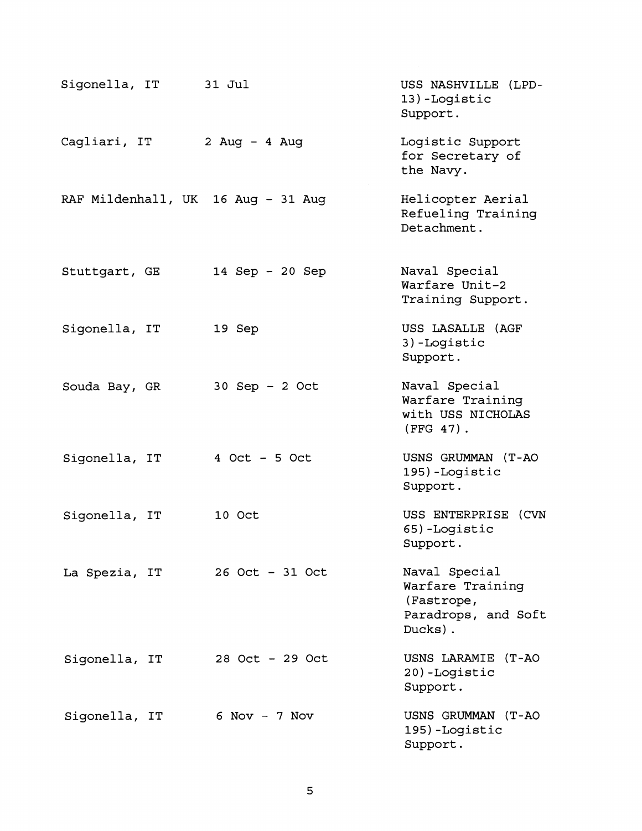| Sigonella, IT                      | 31 Jul            | USS NASHVILLE (LPD-<br>13)-Logistic<br>Support.                                   |
|------------------------------------|-------------------|-----------------------------------------------------------------------------------|
| Cagliari, IT                       | 2 Aug $-4$ Aug    | Logistic Support<br>for Secretary of<br>the Navy.                                 |
| RAF Mildenhall, UK 16 Aug - 31 Aug |                   | Helicopter Aerial<br>Refueling Training<br>Detachment.                            |
| Stuttgart, GE                      | 14 Sep - 20 Sep   | Naval Special<br>Warfare Unit-2<br>Training Support.                              |
| Sigonella, IT                      | 19 Sep            | USS LASALLE (AGF<br>3) -Logistic<br>Support.                                      |
| Souda Bay, GR                      | $30$ Sep - 2 Oct  | Naval Special<br>Warfare Training<br>with USS NICHOLAS<br>$(FFG 47)$ .            |
| Sigonella, IT                      | $4$ Oct - 5 Oct   | USNS GRUMMAN (T-AO<br>195)-Logistic<br>Support.                                   |
| Sigonella, IT                      | 10 Oct            | USS ENTERPRISE (CVN<br>65)-Logistic<br>Support.                                   |
| La Spezia, IT                      | $26$ Oct - 31 Oct | Naval Special<br>Warfare Training<br>(Fastrope,<br>Paradrops, and Soft<br>Ducks). |
| Sigonella, IT                      | 28 Oct - 29 Oct   | USNS LARAMIE (T-AO<br>20)-Logistic<br>Support.                                    |
| Sigonella, IT                      | $6$ Nov - 7 Nov   | USNS GRUMMAN (T-AO<br>195)-Logistic<br>Support.                                   |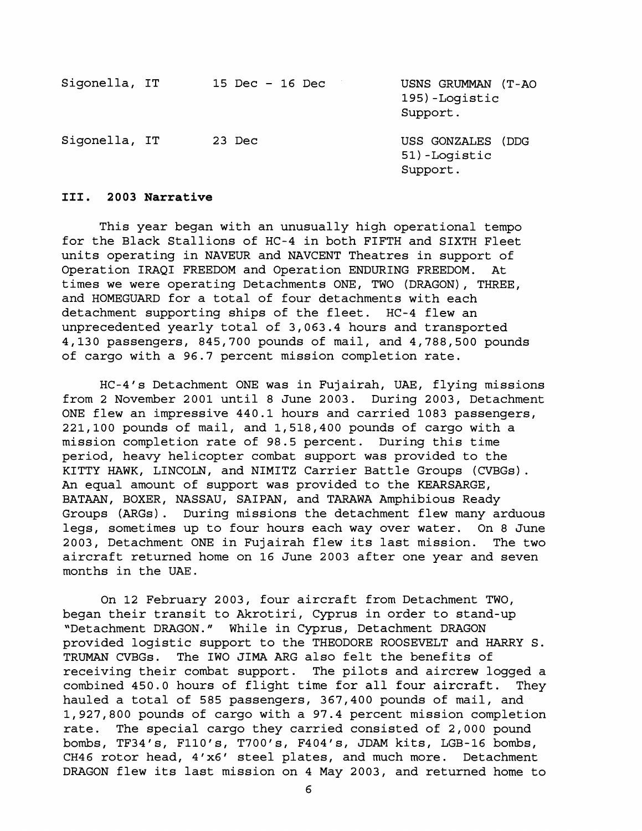| Sigonella, IT | 15 Dec $-$ 16 Dec | USNS GRUMMAN (T-AO<br>195)-Loqistic<br>Support. |
|---------------|-------------------|-------------------------------------------------|
| Sigonella, IT | 23 Dec            | USS GONZALES (DDG<br>51) -Logistic<br>Support.  |

### **111. 2003 Narrative**

This year began with an unusually high operational tempo for the Black Stallions of HC-4 in both FIFTH and SIXTH Fleet units operating in NAVEUR and NAVCENT Theatres in support of Operation IRAQI FREEDOM and Operation ENDURING FREEDOM. At times we were operating Detachments ONE, TWO (DRAGON), THREE, and HOMEGUARD for a total of four detachments with each detachment supporting ships of the fleet. HC-4 flew an unprecedented yearly total of 3,063.4 hours and transported 4,130 passengers, 845,700 pounds of mail, and 4,788,500 pounds of cargo with a 96.7 percent mission completion rate.

HC-4's Detachment ONE was in Fujairah, UAE, flying missions from 2 November 2001 until 8 June 2003. During 2003, Detachment ONE flew an impressive 440.1 hours and carried 1083 passengers, 221,100 pounds of mail, and 1,518,400 pounds of cargo with a mission completion rate of 98.5 percent. During this time period, heavy helicopter combat support was provided to the KITTY HAWK, LINCOLN, and NIMITZ Carrier Battle Groups (CVBGs). An equal amount of support was provided to the KEARSARGE, BATAAN, BOXER, NASSAU, SAIPAN, and TARAWA Amphibious Ready Groups (ARGs) . During missions the detachment flew many arduous legs, sometimes up to four hours each way over water. On 8 June 2003, Detachment ONE in Fujairah flew its last mission. The two aircraft returned home on 16 June 2003 after one year and seven months in the UAE.

On 12 February 2003, four aircraft from Detachment TWO, began their transit to Akrotiri, Cyprus in order to stand-up "Detachment DRAGON." While in Cyprus, Detachment DRAGON provided logistic support to the THEODORE ROOSEVELT and HARRY S. TRUMAN CVBGs. The IWO JIMA ARG also felt the benefits of receiving their combat support. The pilots and aircrew logged a combined 450.0 hours of flight time for all four aircraft. They hauled a total of 585 passengers, 367,400 pounds of mail, and 1,927,800 pounds of cargo with a 97.4 percent mission completion rate. The special cargo they carried consisted of 2,000 pound bombs, TF34's, F110's, T700's, F404's, JDAM kits, LGB-16 bombs, CH46 rotor head, 4'x6' steel plates, and much more. Detachment DRAGON flew its last mission on 4 May 2003, and returned home to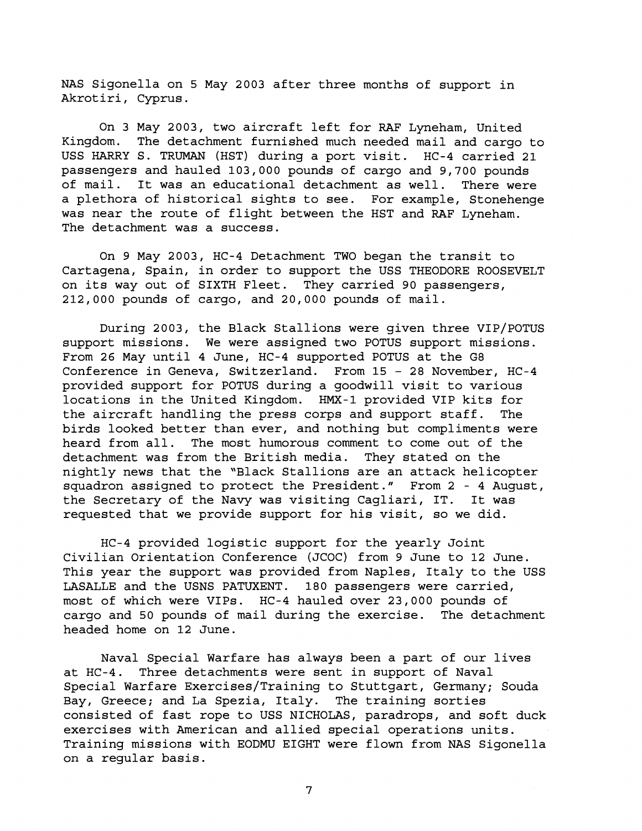NAS Sigonella on 5 May 2003 after three months of support in Akrotiri, Cyprus.

On 3 May 2003, two aircraft left for RAF Lyneham, United Kingdom. The detachment furnished much needed mail and cargo to USS HARRY S. TRUMAN (HST) during a port visit. HC-4 carried 21 passengers and hauled 103,000 pounds of cargo and 9,700 pounds of mail. It was an educational detachment as well. There were a plethora of historical sights to see. For example, Stonehenge was near the route of flight between the HST and RAF Lyneham. The detachment was a success.

On 9 May 2003, HC-4 Detachment TWO began the transit to Cartagena, Spain, in order to support the USS THEODORE ROOSEVELT on its way out of SIXTH Fleet. They carried 90 passengers, 212,000 pounds of cargo, and 20,000 pounds of mail.

During 2003, the Black Stallions were given three VIP/POTUS support missions. We were assigned two POTUS support missions. From 26 May until 4 June, HC-4 supported POTUS at the G8 Conference in Geneva, Switzerland. From 15 - 28 November, HC-4 provided support for POTUS during a goodwill visit to various locations in the United Kingdom. HMX-1 provided VIP kits for the aircraft handling the press corps and support staff. The birds looked better than ever, and nothing but compliments were heard from all. The most humorous comment to come out of the detachment was from the British media. They stated on the nightly news that the "Black Stallions are an attack helicopter squadron assigned to protect the President." From 2 - 4 August, the Secretary of the Navy was visiting Cagliari, IT. It was requested that we provide support for his visit, so we did.

HC-4 provided logistic support for the yearly Joint Civilian Orientation Conference (JCOC) from 9 June to 12 June. This year the support was provided from Naples, Italy to the USS LASALLE and the USNS PATUXENT. 180 passengers were carried, most of which were VIPs. HC-4 hauled over 23,000 pounds of cargo and 50 pounds of mail during the exercise. The detachment headed home on 12 June.

Naval Special Warfare has always been a part of our lives at HC-4. Three detachments were sent in support of Naval Special Warfare Exercises/Training to Stuttgart, Germany; Souda Bay, Greece; and La Spezia, Italy. The training sorties consisted of fast rope to USS NICHOLAS, paradrops, and soft duck exercises with American and allied special operations units. Training missions with EODMU EIGHT were flown from NAS Sigonella on a regular basis.